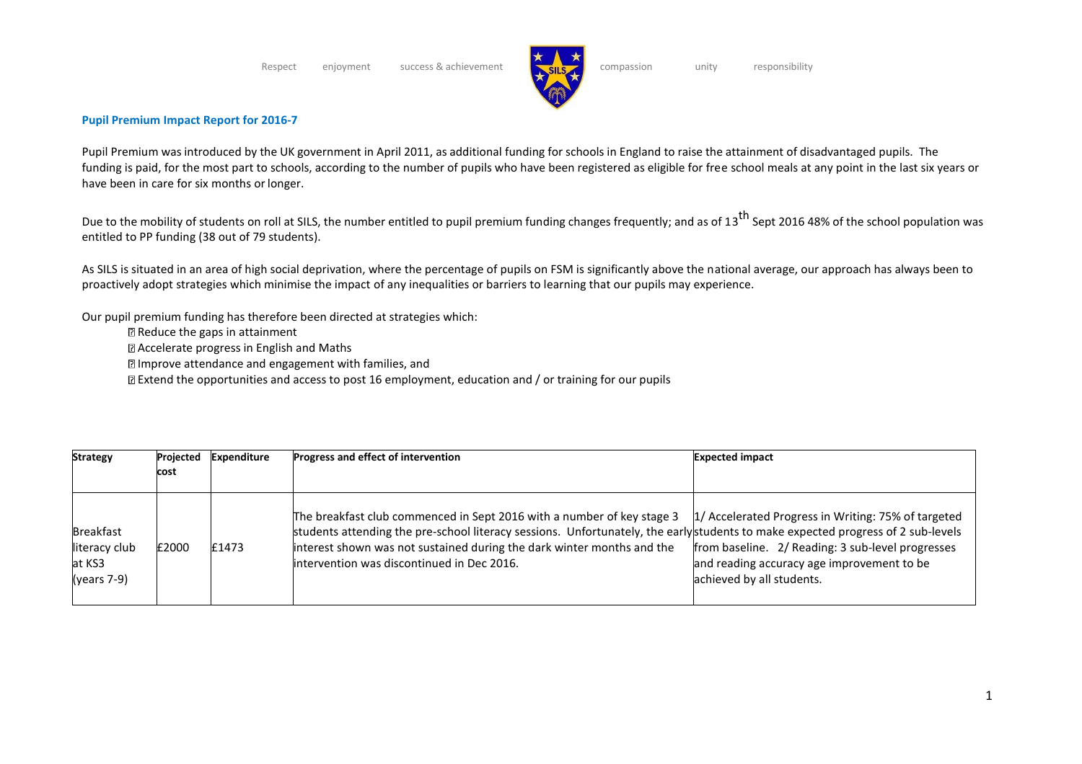

## **Pupil Premium Impact Report for 2016-7**

Pupil Premium was introduced by the UK government in April 2011, as additional funding for schools in England to raise the attainment of disadvantaged pupils. The funding is paid, for the most part to schools, according to the number of pupils who have been registered as eligible for free school meals at any point in the last six years or have been in care for six months or longer.

Due to the mobility of students on roll at SILS, the number entitled to pupil premium funding changes frequently; and as of 13<sup>th</sup> Sept 2016 48% of the school population was entitled to PP funding (38 out of 79 students).

As SILS is situated in an area of high social deprivation, where the percentage of pupils on FSM is significantly above the national average, our approach has always been to proactively adopt strategies which minimise the impact of any inequalities or barriers to learning that our pupils may experience.

Our pupil premium funding has therefore been directed at strategies which:

- Reduce the gaps in attainment
- Accelerate progress in English and Maths
- Improve attendance and engagement with families, and
- $\mathbb B$  Extend the opportunities and access to post 16 employment, education and / or training for our pupils

| <b>Strategy</b>                                              | Projected<br>cost | <b>Expenditure</b> | Progress and effect of intervention                                                                                                                                                                                                                                                                                                | <b>Expected impact</b>                                                                                                                                                              |
|--------------------------------------------------------------|-------------------|--------------------|------------------------------------------------------------------------------------------------------------------------------------------------------------------------------------------------------------------------------------------------------------------------------------------------------------------------------------|-------------------------------------------------------------------------------------------------------------------------------------------------------------------------------------|
| <b>Breakfast</b><br>literacy club<br>at KS3<br>$(years 7-9)$ | £2000             | £1473              | The breakfast club commenced in Sept 2016 with a number of key stage 3<br>students attending the pre-school literacy sessions. Unfortunately, the earlystudents to make expected progress of 2 sub-levels<br>interest shown was not sustained during the dark winter months and the<br>lintervention was discontinued in Dec 2016. | 1/ Accelerated Progress in Writing: 75% of targeted<br>from baseline. 2/ Reading: 3 sub-level progresses<br>and reading accuracy age improvement to be<br>achieved by all students. |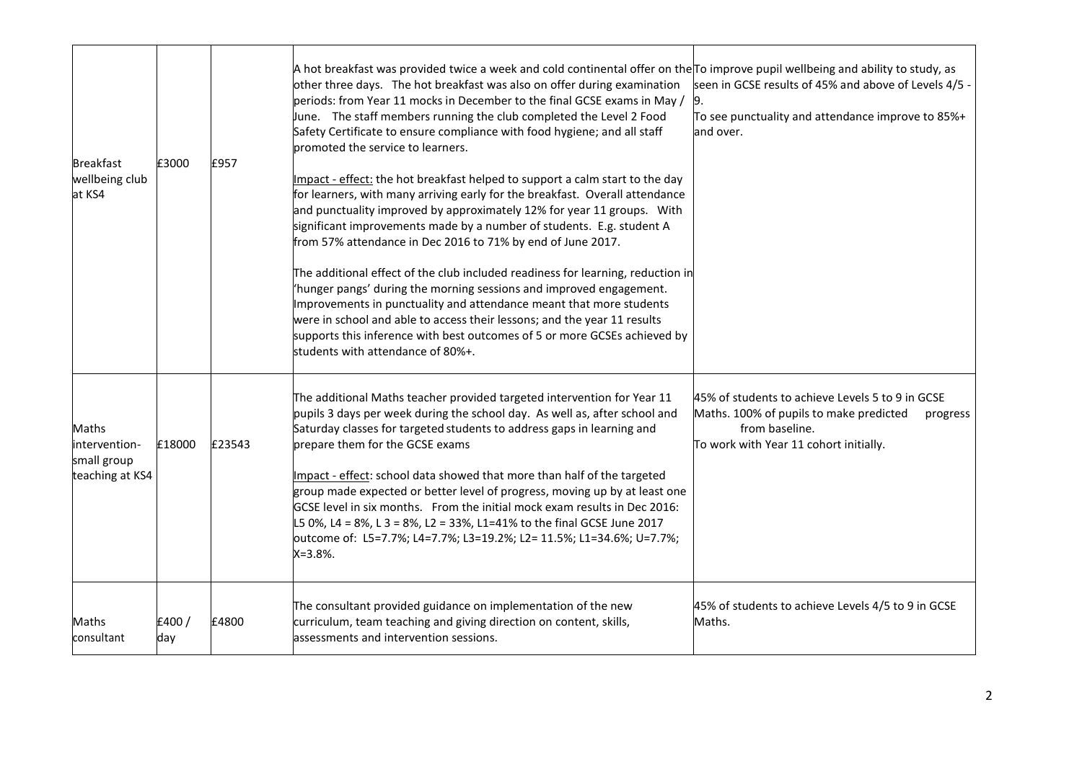| Breakfast<br>wellbeing club<br>at KS4                           | £3000        | £957   | A hot breakfast was provided twice a week and cold continental offer on the To improve pupil wellbeing and ability to study, as<br>other three days. The hot breakfast was also on offer during examination<br>periods: from Year 11 mocks in December to the final GCSE exams in May /<br>une. The staff members running the club completed the Level 2 Food<br>Safety Certificate to ensure compliance with food hygiene; and all staff<br>promoted the service to learners.<br>Impact - effect: the hot breakfast helped to support a calm start to the day<br>for learners, with many arriving early for the breakfast. Overall attendance<br>and punctuality improved by approximately 12% for year 11 groups. With<br>significant improvements made by a number of students. E.g. student A<br>from 57% attendance in Dec 2016 to 71% by end of June 2017.<br>The additional effect of the club included readiness for learning, reduction in<br>"hunger pangs' during the morning sessions and improved engagement.<br>Improvements in punctuality and attendance meant that more students<br>were in school and able to access their lessons; and the year 11 results<br>supports this inference with best outcomes of 5 or more GCSEs achieved by<br>students with attendance of 80%+. | seen in GCSE results of 45% and above of Levels 4/5 -<br>To see punctuality and attendance improve to 85%+<br>and over.                                             |
|-----------------------------------------------------------------|--------------|--------|-------------------------------------------------------------------------------------------------------------------------------------------------------------------------------------------------------------------------------------------------------------------------------------------------------------------------------------------------------------------------------------------------------------------------------------------------------------------------------------------------------------------------------------------------------------------------------------------------------------------------------------------------------------------------------------------------------------------------------------------------------------------------------------------------------------------------------------------------------------------------------------------------------------------------------------------------------------------------------------------------------------------------------------------------------------------------------------------------------------------------------------------------------------------------------------------------------------------------------------------------------------------------------------------------|---------------------------------------------------------------------------------------------------------------------------------------------------------------------|
| <b>Maths</b><br>intervention-<br>small group<br>teaching at KS4 | £18000       | £23543 | The additional Maths teacher provided targeted intervention for Year 11<br>pupils 3 days per week during the school day. As well as, after school and<br>Saturday classes for targeted students to address gaps in learning and<br>prepare them for the GCSE exams<br>Impact - effect: school data showed that more than half of the targeted<br>group made expected or better level of progress, moving up by at least one<br>GCSE level in six months. From the initial mock exam results in Dec 2016:<br>L5 0%, L4 = 8%, L 3 = 8%, L2 = 33%, L1=41% to the final GCSE June 2017<br>outcome of: L5=7.7%; L4=7.7%; L3=19.2%; L2= 11.5%; L1=34.6%; U=7.7%;<br>$X = 3.8%$ .                                                                                                                                                                                                                                                                                                                                                                                                                                                                                                                                                                                                                      | 45% of students to achieve Levels 5 to 9 in GCSE<br>Maths. 100% of pupils to make predicted<br>progress<br>from baseline.<br>To work with Year 11 cohort initially. |
| Maths<br>consultant                                             | £400/<br>day | £4800  | The consultant provided guidance on implementation of the new<br>curriculum, team teaching and giving direction on content, skills,<br>assessments and intervention sessions.                                                                                                                                                                                                                                                                                                                                                                                                                                                                                                                                                                                                                                                                                                                                                                                                                                                                                                                                                                                                                                                                                                                   | 45% of students to achieve Levels 4/5 to 9 in GCSE<br>Maths.                                                                                                        |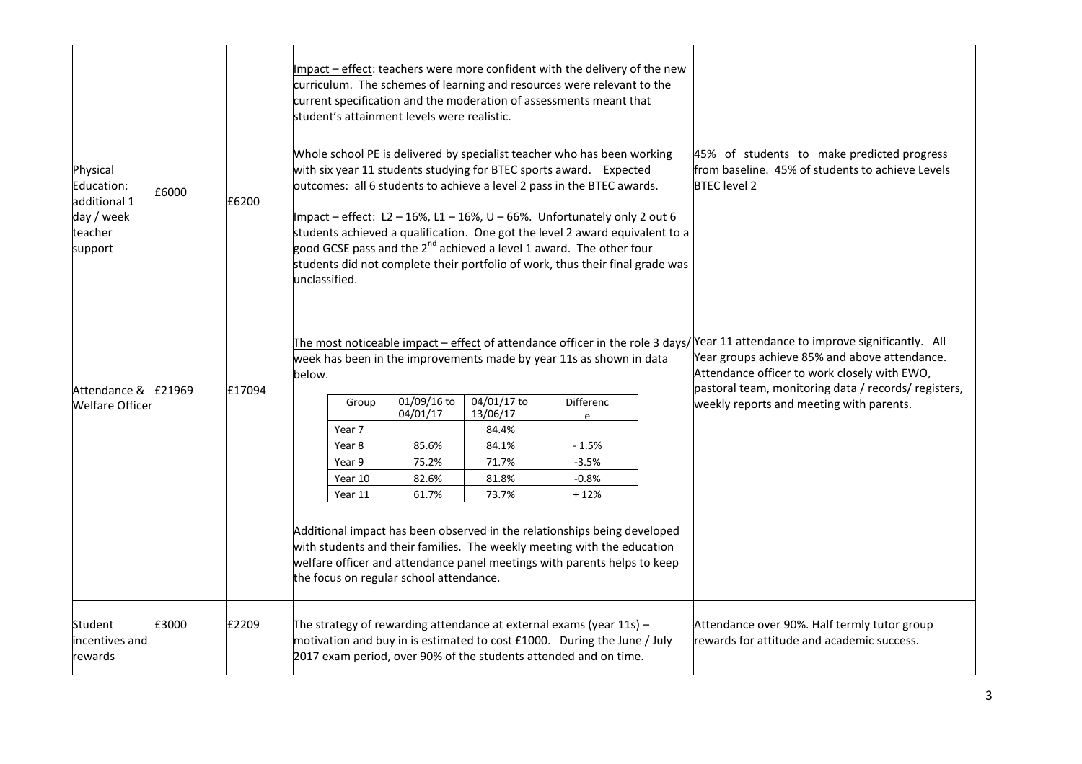|                                                                            |        |        | Impact – effect: teachers were more confident with the delivery of the new<br>curriculum. The schemes of learning and resources were relevant to the<br>current specification and the moderation of assessments meant that<br>student's attainment levels were realistic.                                                                                                                                                                                                                                                                                                                                                                                                                   |                                                             |                                                                      |                                                                                            |  |                                                                                                                                                                                                                                                                                                                                     |  |  |
|----------------------------------------------------------------------------|--------|--------|---------------------------------------------------------------------------------------------------------------------------------------------------------------------------------------------------------------------------------------------------------------------------------------------------------------------------------------------------------------------------------------------------------------------------------------------------------------------------------------------------------------------------------------------------------------------------------------------------------------------------------------------------------------------------------------------|-------------------------------------------------------------|----------------------------------------------------------------------|--------------------------------------------------------------------------------------------|--|-------------------------------------------------------------------------------------------------------------------------------------------------------------------------------------------------------------------------------------------------------------------------------------------------------------------------------------|--|--|
| Physical<br>Education:<br>additional 1<br>day / week<br>teacher<br>support | £6000  | £6200  | Whole school PE is delivered by specialist teacher who has been working<br>45% of students to make predicted progress<br>with six year 11 students studying for BTEC sports award. Expected<br>from baseline. 45% of students to achieve Levels<br>outcomes: all 6 students to achieve a level 2 pass in the BTEC awards.<br><b>BTEC</b> level 2<br>Impact - effect: L2-16%, L1-16%, U-66%. Unfortunately only 2 out 6<br>students achieved a qualification. One got the level 2 award equivalent to a<br>good GCSE pass and the 2 <sup>nd</sup> achieved a level 1 award. The other four<br>students did not complete their portfolio of work, thus their final grade was<br>unclassified. |                                                             |                                                                      |                                                                                            |  |                                                                                                                                                                                                                                                                                                                                     |  |  |
| Attendance &<br><b>Welfare Officer</b>                                     | £21969 | £17094 | week has been in the improvements made by year 11s as shown in data<br>below.<br>Group<br>Year 7<br>Year 8<br>Year 9<br>Year 10<br>Year 11<br>Additional impact has been observed in the relationships being developed<br>with students and their families. The weekly meeting with the education<br>welfare officer and attendance panel meetings with parents helps to keep<br>the focus on regular school attendance.                                                                                                                                                                                                                                                                    | 01/09/16 to<br>04/01/17<br>85.6%<br>75.2%<br>82.6%<br>61.7% | 04/01/17 to<br>13/06/17<br>84.4%<br>84.1%<br>71.7%<br>81.8%<br>73.7% | <b>Differenc</b><br>$\epsilon$<br>$-1.5%$<br>$-3.5%$<br>$-0.8%$<br>$+12%$                  |  | The most noticeable impact – effect of attendance officer in the role 3 days/ Year 11 attendance to improve significantly. All<br>Year groups achieve 85% and above attendance.<br>Attendance officer to work closely with EWO,<br>pastoral team, monitoring data / records/ registers,<br>weekly reports and meeting with parents. |  |  |
| Student<br>incentives and<br>rewards                                       | £3000  | £2209  | The strategy of rewarding attendance at external exams (year $11s$ ) -<br>motivation and buy in is estimated to cost £1000. During the June / July<br>2017 exam period, over 90% of the students attended and on time.                                                                                                                                                                                                                                                                                                                                                                                                                                                                      |                                                             |                                                                      | Attendance over 90%. Half termly tutor group<br>rewards for attitude and academic success. |  |                                                                                                                                                                                                                                                                                                                                     |  |  |